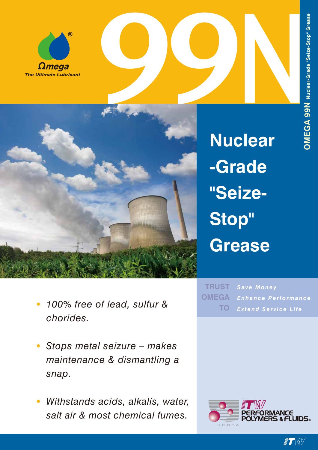





**Nuclear -Grade "Seize-Stop" Grease**

- *• 100% free of lead, sulfur & chorides.*
- *• Stops metal seizure makes maintenance & dismantling a snap.*
- *• Withstands acids, alkalis, water, salt air & most chemical fumes.*





**IT BY**